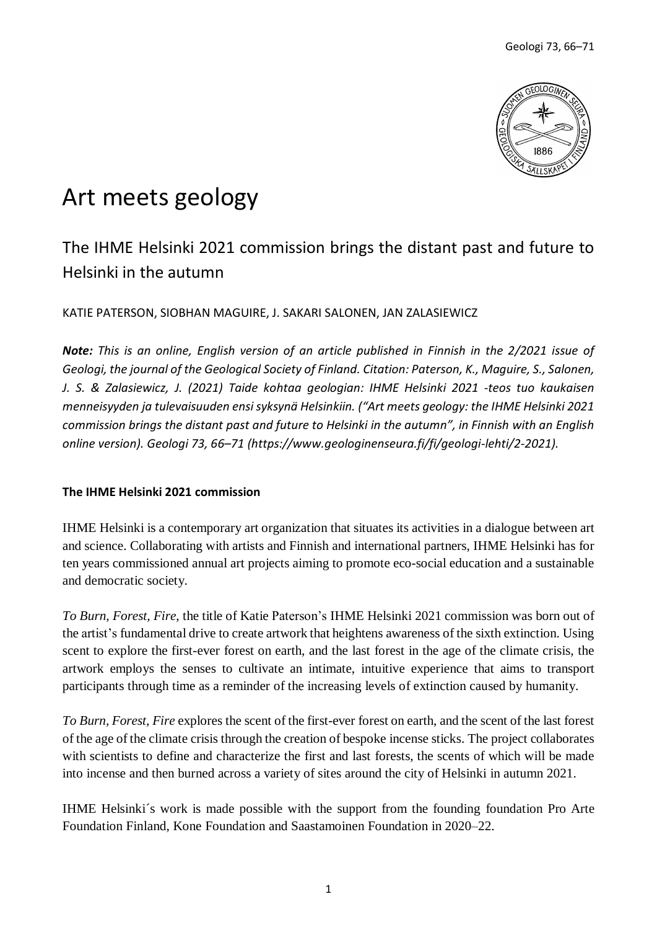

# Art meets geology

# The IHME Helsinki 2021 commission brings the distant past and future to Helsinki in the autumn

KATIE PATERSON, SIOBHAN MAGUIRE, J. SAKARI SALONEN, JAN ZALASIEWICZ

*Note: This is an online, English version of an article published in Finnish in the 2/2021 issue of Geologi, the journal of the Geological Society of Finland. Citation: Paterson, K., Maguire, S., Salonen, J. S. & Zalasiewicz, J. (2021) Taide kohtaa geologian: IHME Helsinki 2021 -teos tuo kaukaisen menneisyyden ja tulevaisuuden ensisyksynä Helsinkiin. ("Art meets geology: the IHME Helsinki 2021 commission brings the distant past and future to Helsinki in the autumn", in Finnish with an English online version). Geologi 73, 66–71 (https://www.geologinenseura.fi/fi/geologi-lehti/2-2021).*

## **The IHME Helsinki 2021 commission**

IHME Helsinki is a contemporary art organization that situates its activities in a dialogue between art and science. Collaborating with artists and Finnish and international partners, IHME Helsinki has for ten years commissioned annual art projects aiming to promote eco-social education and a sustainable and democratic society.

*To Burn, Forest, Fire*, the title of Katie Paterson's IHME Helsinki 2021 commission was born out of the artist's fundamental drive to create artwork that heightens awareness of the sixth extinction. Using scent to explore the first-ever forest on earth, and the last forest in the age of the climate crisis, the artwork employs the senses to cultivate an intimate, intuitive experience that aims to transport participants through time as a reminder of the increasing levels of extinction caused by humanity.

*To Burn, Forest, Fire* explores the scent of the first-ever forest on earth, and the scent of the last forest of the age of the climate crisis through the creation of bespoke incense sticks. The project collaborates with scientists to define and characterize the first and last forests, the scents of which will be made into incense and then burned across a variety of sites around the city of Helsinki in autumn 2021.

IHME Helsinki´s work is made possible with the support from the founding foundation Pro Arte Foundation Finland, Kone Foundation and Saastamoinen Foundation in 2020–22.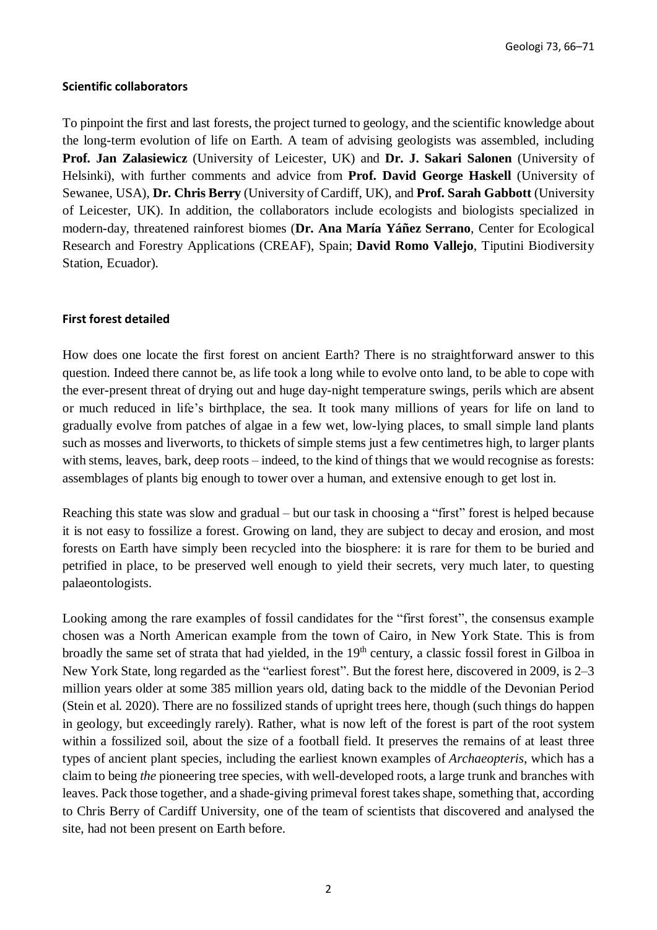#### **Scientific collaborators**

To pinpoint the first and last forests, the project turned to geology, and the scientific knowledge about the long-term evolution of life on Earth. A team of advising geologists was assembled, including **Prof. Jan Zalasiewicz** (University of Leicester, UK) and **Dr. J. Sakari Salonen** (University of Helsinki), with further comments and advice from **Prof. David George Haskell** (University of Sewanee, USA), **Dr. Chris Berry** (University of Cardiff, UK), and **Prof. Sarah Gabbott** (University of Leicester, UK). In addition, the collaborators include ecologists and biologists specialized in modern-day, threatened rainforest biomes (**Dr. Ana María Yáñez Serrano**, Center for Ecological Research and Forestry Applications (CREAF), Spain; **David Romo Vallejo**, Tiputini Biodiversity Station, Ecuador).

## **First forest detailed**

How does one locate the first forest on ancient Earth? There is no straightforward answer to this question. Indeed there cannot be, as life took a long while to evolve onto land, to be able to cope with the ever-present threat of drying out and huge day-night temperature swings, perils which are absent or much reduced in life's birthplace, the sea. It took many millions of years for life on land to gradually evolve from patches of algae in a few wet, low-lying places, to small simple land plants such as mosses and liverworts, to thickets of simple stems just a few centimetres high, to larger plants with stems, leaves, bark, deep roots – indeed, to the kind of things that we would recognise as forests: assemblages of plants big enough to tower over a human, and extensive enough to get lost in.

Reaching this state was slow and gradual – but our task in choosing a "first" forest is helped because it is not easy to fossilize a forest. Growing on land, they are subject to decay and erosion, and most forests on Earth have simply been recycled into the biosphere: it is rare for them to be buried and petrified in place, to be preserved well enough to yield their secrets, very much later, to questing palaeontologists.

Looking among the rare examples of fossil candidates for the "first forest", the consensus example chosen was a North American example from the town of Cairo, in New York State. This is from broadly the same set of strata that had yielded, in the 19<sup>th</sup> century, a classic fossil forest in Gilboa in New York State, long regarded as the "earliest forest". But the forest here, discovered in 2009, is 2–3 million years older at some 385 million years old, dating back to the middle of the Devonian Period (Stein et al. 2020). There are no fossilized stands of upright trees here, though (such things do happen in geology, but exceedingly rarely). Rather, what is now left of the forest is part of the root system within a fossilized soil, about the size of a football field. It preserves the remains of at least three types of ancient plant species, including the earliest known examples of *Archaeopteris*, which has a claim to being *the* pioneering tree species, with well-developed roots, a large trunk and branches with leaves. Pack those together, and a shade-giving primeval forest takesshape, something that, according to Chris Berry of Cardiff University, one of the team of scientists that discovered and analysed the site, had not been present on Earth before.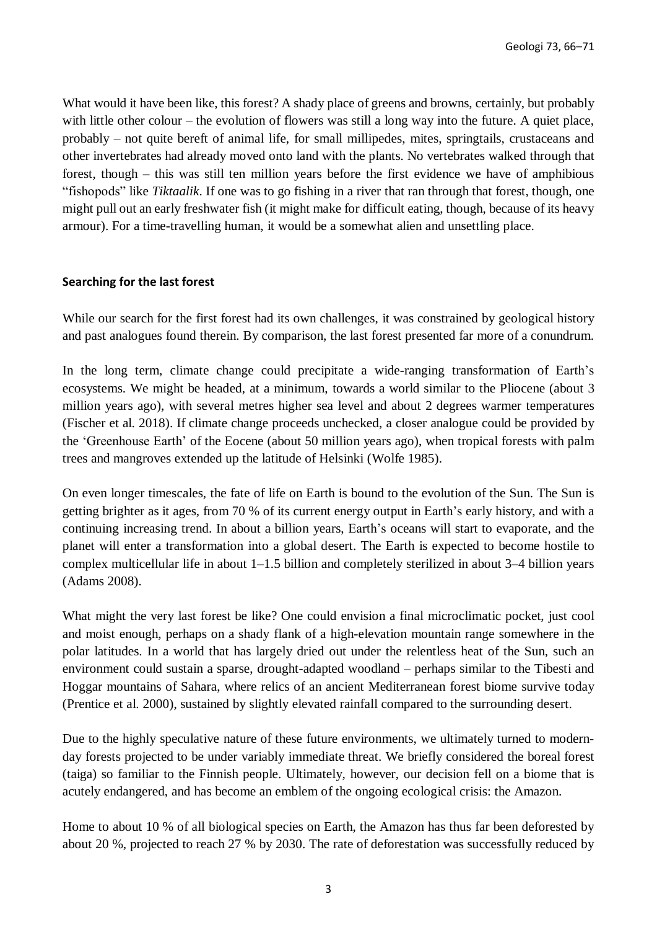What would it have been like, this forest? A shady place of greens and browns, certainly, but probably with little other colour – the evolution of flowers was still a long way into the future. A quiet place, probably – not quite bereft of animal life, for small millipedes, mites, springtails, crustaceans and other invertebrates had already moved onto land with the plants. No vertebrates walked through that forest, though – this was still ten million years before the first evidence we have of amphibious "fishopods" like *Tiktaalik*. If one was to go fishing in a river that ran through that forest, though, one might pull out an early freshwater fish (it might make for difficult eating, though, because of its heavy armour). For a time-travelling human, it would be a somewhat alien and unsettling place.

#### **Searching for the last forest**

While our search for the first forest had its own challenges, it was constrained by geological history and past analogues found therein. By comparison, the last forest presented far more of a conundrum.

In the long term, climate change could precipitate a wide-ranging transformation of Earth's ecosystems. We might be headed, at a minimum, towards a world similar to the Pliocene (about 3 million years ago), with several metres higher sea level and about 2 degrees warmer temperatures (Fischer et al. 2018). If climate change proceeds unchecked, a closer analogue could be provided by the 'Greenhouse Earth' of the Eocene (about 50 million years ago), when tropical forests with palm trees and mangroves extended up the latitude of Helsinki (Wolfe 1985).

On even longer timescales, the fate of life on Earth is bound to the evolution of the Sun. The Sun is getting brighter as it ages, from 70 % of its current energy output in Earth's early history, and with a continuing increasing trend. In about a billion years, Earth's oceans will start to evaporate, and the planet will enter a transformation into a global desert. The Earth is expected to become hostile to complex multicellular life in about 1–1.5 billion and completely sterilized in about 3–4 billion years (Adams 2008).

What might the very last forest be like? One could envision a final microclimatic pocket, just cool and moist enough, perhaps on a shady flank of a high-elevation mountain range somewhere in the polar latitudes. In a world that has largely dried out under the relentless heat of the Sun, such an environment could sustain a sparse, drought-adapted woodland – perhaps similar to the Tibesti and Hoggar mountains of Sahara, where relics of an ancient Mediterranean forest biome survive today (Prentice et al. 2000), sustained by slightly elevated rainfall compared to the surrounding desert.

Due to the highly speculative nature of these future environments, we ultimately turned to modernday forests projected to be under variably immediate threat. We briefly considered the boreal forest (taiga) so familiar to the Finnish people. Ultimately, however, our decision fell on a biome that is acutely endangered, and has become an emblem of the ongoing ecological crisis: the Amazon.

Home to about 10 % of all biological species on Earth, the Amazon has thus far been deforested by about 20 %, projected to reach 27 % by 2030. The rate of deforestation was successfully reduced by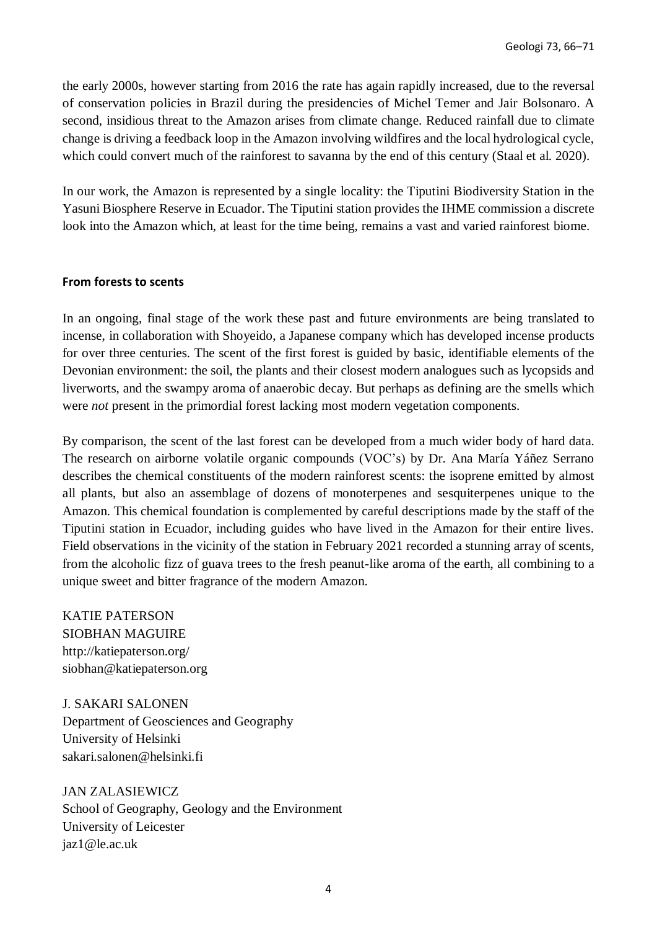the early 2000s, however starting from 2016 the rate has again rapidly increased, due to the reversal of conservation policies in Brazil during the presidencies of Michel Temer and Jair Bolsonaro. A second, insidious threat to the Amazon arises from climate change. Reduced rainfall due to climate change is driving a feedback loop in the Amazon involving wildfires and the local hydrological cycle, which could convert much of the rainforest to savanna by the end of this century (Staal et al. 2020).

In our work, the Amazon is represented by a single locality: the Tiputini Biodiversity Station in the Yasuni Biosphere Reserve in Ecuador. The Tiputini station provides the IHME commission a discrete look into the Amazon which, at least for the time being, remains a vast and varied rainforest biome.

#### **From forests to scents**

In an ongoing, final stage of the work these past and future environments are being translated to incense, in collaboration with Shoyeido, a Japanese company which has developed incense products for over three centuries. The scent of the first forest is guided by basic, identifiable elements of the Devonian environment: the soil, the plants and their closest modern analogues such as lycopsids and liverworts, and the swampy aroma of anaerobic decay. But perhaps as defining are the smells which were *not* present in the primordial forest lacking most modern vegetation components.

By comparison, the scent of the last forest can be developed from a much wider body of hard data. The research on airborne volatile organic compounds (VOC's) by Dr. Ana María Yáñez Serrano describes the chemical constituents of the modern rainforest scents: the isoprene emitted by almost all plants, but also an assemblage of dozens of monoterpenes and sesquiterpenes unique to the Amazon. This chemical foundation is complemented by careful descriptions made by the staff of the Tiputini station in Ecuador, including guides who have lived in the Amazon for their entire lives. Field observations in the vicinity of the station in February 2021 recorded a stunning array of scents, from the alcoholic fizz of guava trees to the fresh peanut-like aroma of the earth, all combining to a unique sweet and bitter fragrance of the modern Amazon.

KATIE PATERSON SIOBHAN MAGUIRE http://katiepaterson.org/ siobhan@katiepaterson.org

J. SAKARI SALONEN Department of Geosciences and Geography University of Helsinki sakari.salonen@helsinki.fi

JAN ZALASIEWICZ School of Geography, Geology and the Environment University of Leicester jaz1@le.ac.uk